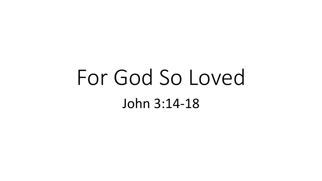## For God So Loved John 3:14-18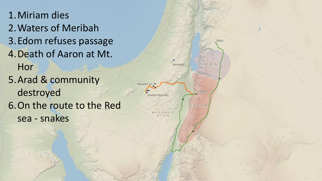1.Miriam dies 2.Waters of Meribah 3.Edom refuses passage 4.Death of Aaron at Mt. Hor 5.Arad & community destroyed 6.On the route to the Red sea - snakes

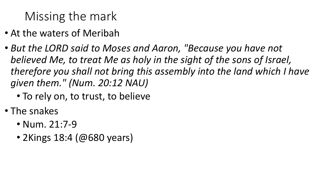## Missing the mark

- At the waters of Meribah
- *But the LORD said to Moses and Aaron, "Because you have not believed Me, to treat Me as holy in the sight of the sons of Israel, therefore you shall not bring this assembly into the land which I have given them." (Num. 20:12 NAU)*
	- To rely on, to trust, to believe
- The snakes
	- Num. 21:7-9
	- 2Kings 18:4 (@680 years)